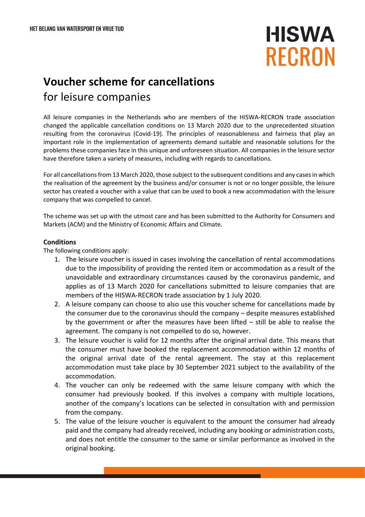**HISWA RECRON** 

## **Voucher scheme for cancellations** for leisure companies

All leisure companies in the Netherlands who are members of the HISWA-RECRON trade association changed the applicable cancellation conditions on 13 March 2020 due to the unprecedented situation resulting from the coronavirus (Covid-19). The principles of reasonableness and fairness that play an important role in the implementation of agreements demand suitable and reasonable solutions for the problems these companies face in this unique and unforeseen situation. All companies in the leisure sector have therefore taken a variety of measures, including with regards to cancellations.

For all cancellations from 13 March 2020, those subject to the subsequent conditions and any cases in which the realisation of the agreement by the business and/or consumer is not or no longer possible, the leisure sector has created a voucher with a value that can be used to book a new accommodation with the leisure company that was compelled to cancel.

The scheme was set up with the utmost care and has been submitted to the Authority for Consumers and Markets (ACM) and the Ministry of Economic Affairs and Climate.

## **Conditions**

The following conditions apply:

- 1. The leisure voucher is issued in cases involving the cancellation of rental accommodations due to the impossibility of providing the rented item or accommodation as a result of the unavoidable and extraordinary circumstances caused by the coronavirus pandemic, and applies as of 13 March 2020 for cancellations submitted to leisure companies that are members of the HISWA-RECRON trade association by 1 July 2020.
- 2. A leisure company can choose to also use this voucher scheme for cancellations made by the consumer due to the coronavirus should the company – despite measures established by the government or after the measures have been lifted – still be able to realise the agreement. The company is not compelled to do so, however.
- 3. The leisure voucher is valid for 12 months after the original arrival date. This means that the consumer must have booked the replacement accommodation within 12 months of the original arrival date of the rental agreement. The stay at this replacement accommodation must take place by 30 September 2021 subject to the availability of the accommodation.
- 4. The voucher can only be redeemed with the same leisure company with which the consumer had previously booked. If this involves a company with multiple locations, another of the company's locations can be selected in consultation with and permission from the company.
- 5. The value of the leisure voucher is equivalent to the amount the consumer had already paid and the company had already received, including any booking or administration costs, and does not entitle the consumer to the same or similar performance as involved in the original booking.